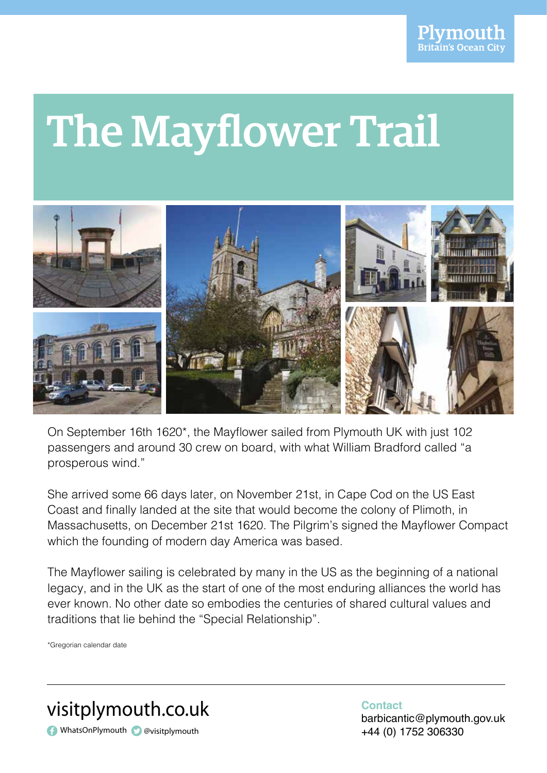# The Mayflower Trail



On September 16th 1620\*, the Mayflower sailed from Plymouth UK with just 102 passengers and around 30 crew on board, with what William Bradford called "a prosperous wind." prosperous wind."

She arrived some 66 days later, on November 21st, in Cape Cod on the US East She arrived some 66 days later, on November 21st, in Cape Cod on the US East Coast and finally landed at the site that would become the colony of Plimoth, in Massachusetts, on December 21st 1620. The Pilgrim's signed the Mayflower Compact which the founding of modern day America was based… which the founding of modern day America was based.

The Mayflower sailing is celebrated by many in the US as the beginning of a The Mayflower sailing is celebrated by many in the US as the beginning of a national legacy, and in the UK as the start of one of the most enduring alliances the world has ever known. No other date so embodies the centuries of shared cultural values and traditions that lie behind the "Special Relationship".

\*Gregorian calendar date



**Contact** barbicantic@plymouth.gov.uk +44 (0) 1752 306330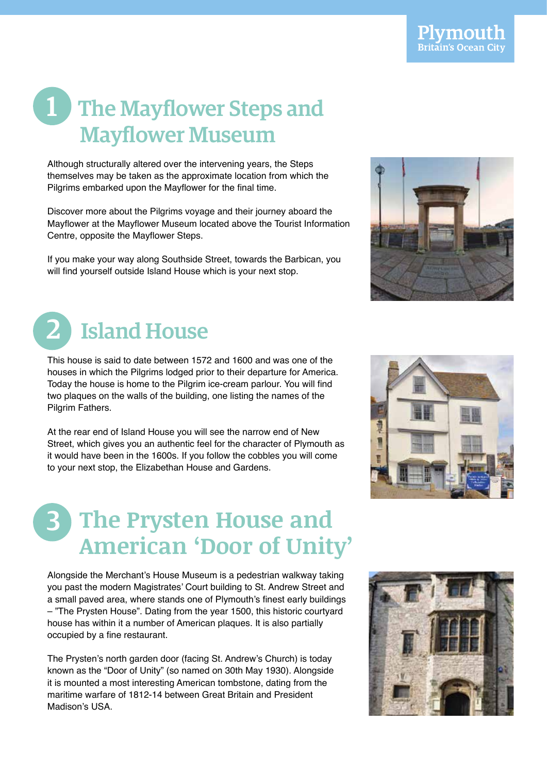#### 1 The Mayflower Steps and 1 The Mayflower Steps and Mayflower Museum Mayflower Museum

Although structurally altered over the intervening years, the Steps themselves may be taken as the approximate location from which the Pilgrims embarked upon the Mayflower for the final time.

Mayflower at the Mayflower Museum located above the Tourist Information Centre, opposite the Mayflower Steps. Discover more about the Pilgrims voyage and their journey aboard the

If you make your way along Southside Street, towards the Barbican, you If you make your way along Southside Street, towards the Barbican, will find yourself outside Island House which is your next stop. If you make your way along Southside Street, towards the Barbican, you will like your outside Tolding House which is your

## 2 Island House

This house is said to date between 1572 and 1600 and was one of the This house is said to date between 1572 and 1600 and was one of the This house is said to date between 1572 and 1600 and was one of the houses in which the Pilgrims lodged prior to their departure for America. Today the house is home to the Pilgrim ice-cream parlour. You will find two plaques on the walls of the building, one listing the names of the Pilgrim Fathers.

At the rear end of the Island House you will see the narrow end of New At the rear end of Island House you will see the narrow end of New At the rear end of the Island House you will see the narrow end of New Street, which gives you an authentic feel for the character of Plymouth as it would have been in the 1600s. If you follow the cobbles you will come to your next stop, the Elizabethan House and Gardens.

#### **3** The Prysten House and **American 'Door of Unity'**

Alongside the Merchant's House Museum is a pedestrian walkway taking you past the modern Magistrates' Court building to St. Andrew Street and a small paved area, where stands one of Plymouth's finest early buildings – "The Prysten House". Dating from the year 1500, this historic courtyard occupied by a fine restaurant. house has within it a number of American plaques. It is also partially

The Prysten's north garden door (facing St. Andrew's Church) is today known as the "Door of Unity" (so named on 30th May 1930). Alongside it is mounted a most interesting American tombstone, dating from the maritime warfare of 1812-14 between Great Britain and President Madison's USA.





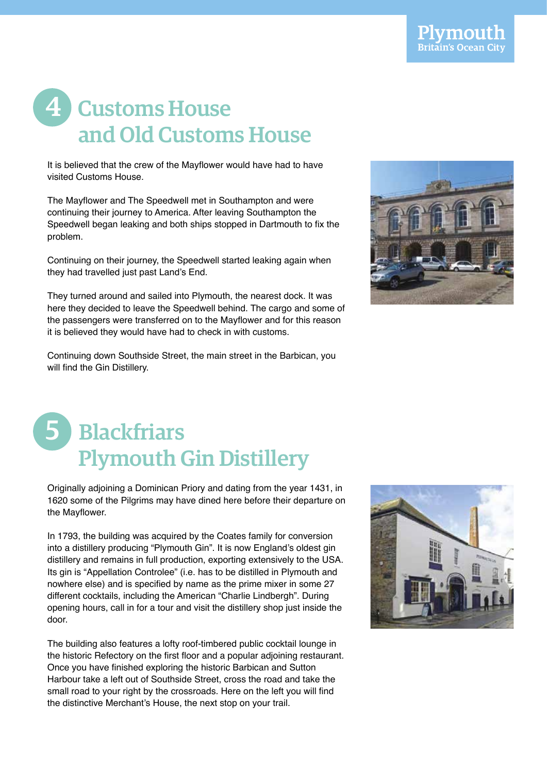#### 4 Customs House and Old Customs House and Old Customs House and Old Customs House

It is believed that the crew of the Mayflower would have had to have visited Customs House. The control of the control of the control of the control of the control of the control o

continuing their journey to America. After leaving Southampton the Speedwell began leaking and both ships stopped in Dartmouth to fix the problem. **leaking and both ships stopped in Dartmouth to fix the problem.** The Mayflower and The Speedwell met in Southampton and were

Continuing on their journey, the Speedwell started leaking again when they had travelled just past Land's End.

They turned around and sailed into Plymouth, the nearest dock. It was the passengers were transferred on to the Mayflower and for this reason it is believed they would have had to check in with customs. here they decided to leave the Speedwell behind. The cargo and some of

will find the Gin Distillery. Continuing down Southside Street, the main street in the Barbican, you



### 5 Blackfriars Plymouth Gin Distillery Plymouth Gin Distillery Plymouth Gin Distillery

Originally adjoining a Dominican Priory and dating from the year 1431, in 1620 some of the Pilgrims may have dined here before their departure on the Mayflower.

In 1793, the building was acquired by the Coates family for conversion<br>into a distillator and believ "Dlameath Oix", this same Eastland's although distillery and remains in full production, exporting extensively to the USA. Its gin is "Appellation Controlee" (i.e. has to be distilled in Plymouth and nowhere else) and is specified by name as the prime mixer in some 27 different cocktails, including the American "Charlie Lindbergh". During opening hours, call in for a tour and visit the distillery shop just inside the call in formal in formal in formal visit the door. call in formal in formal visit the door. into a distillery producing "Plymouth Gin". It is now England's oldest gin door. call in formal in formal visit the door.

The building also features a lofty roof-timbered public cocktail lounge in the historic Refectory on the first floor and a popular adjoining restaurant. Harbour take a left out of Southside Street, cross the road and take the small road to your right by the crossroads. Here on the left you will find the distinctive Merchant's House, the next stop on your trail. Once you have finished exploring the historic Barbican and Sutton